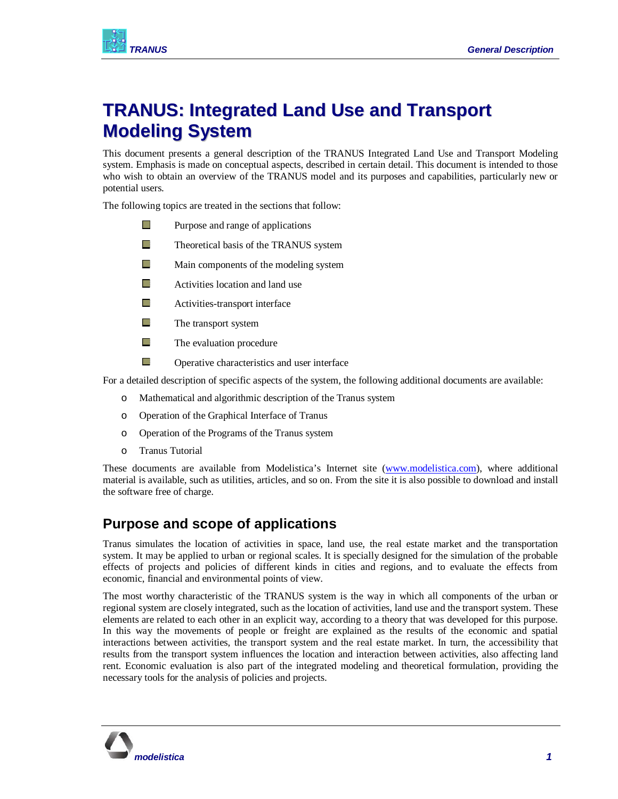# **TRANUS: Integrated Land Use and Transport Modeling System**

This document presents a general description of the TRANUS Integrated Land Use and Transport Modeling system. Emphasis is made on conceptual aspects, described in certain detail. This document is intended to those who wish to obtain an overview of the TRANUS model and its purposes and capabilities, particularly new or potential users.

The following topics are treated in the sections that follow:

- $\Box$  Purpose and range of applications
- $\Box$  Theoretical basis of the TRANUS system
- $\Box$  Main components of the modeling system
- $\Box$  Activities location and land use
- $\blacksquare$  Activities-transport interface
- $\blacksquare$  The transport system
- $\Box$  The evaluation procedure
- $\Box$  Operative characteristics and user interface

For a detailed description of specific aspects of the system, the following additional documents are available:

- o Mathematical and algorithmic description of the Tranus system
- o Operation of the Graphical Interface of Tranus
- o Operation of the Programs of the Tranus system
- o Tranus Tutorial

These documents are available from Modelistica's Internet site (www.modelistica.com), where additional material is available, such as utilities, articles, and so on. From the site it is also possible to download and install the software free of charge.

### **Purpose and scope of applications**

Tranus simulates the location of activities in space, land use, the real estate market and the transportation system. It may be applied to urban or regional scales. It is specially designed for the simulation of the probable effects of projects and policies of different kinds in cities and regions, and to evaluate the effects from economic, financial and environmental points of view.

The most worthy characteristic of the TRANUS system is the way in which all components of the urban or regional system are closely integrated, such as the location of activities, land use and the transport system. These elements are related to each other in an explicit way, according to a theory that was developed for this purpose. In this way the movements of people or freight are explained as the results of the economic and spatial interactions between activities, the transport system and the real estate market. In turn, the accessibility that results from the transport system influences the location and interaction between activities, also affecting land rent. Economic evaluation is also part of the integrated modeling and theoretical formulation, providing the necessary tools for the analysis of policies and projects.

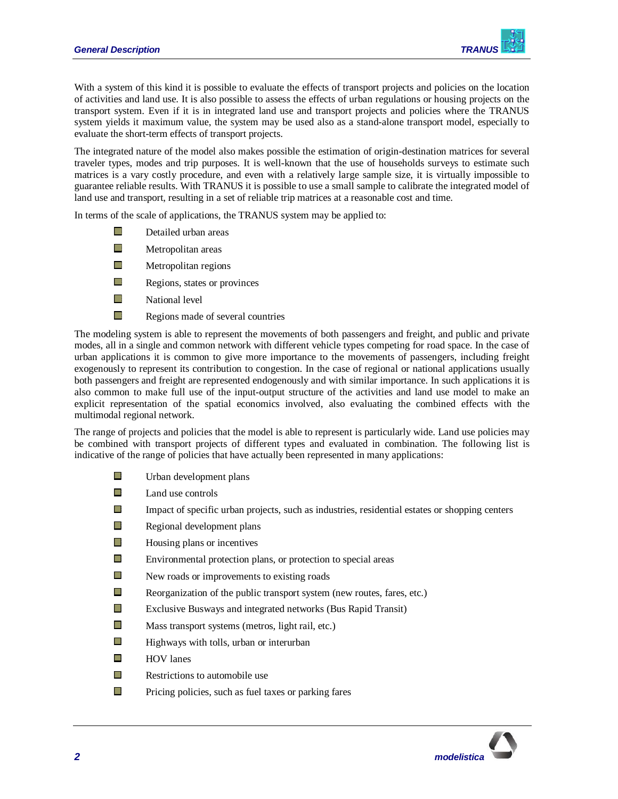

With a system of this kind it is possible to evaluate the effects of transport projects and policies on the location of activities and land use. It is also possible to assess the effects of urban regulations or housing projects on the transport system. Even if it is in integrated land use and transport projects and policies where the TRANUS system yields it maximum value, the system may be used also as a stand-alone transport model, especially to evaluate the short-term effects of transport projects.

The integrated nature of the model also makes possible the estimation of origin-destination matrices for several traveler types, modes and trip purposes. It is well-known that the use of households surveys to estimate such matrices is a vary costly procedure, and even with a relatively large sample size, it is virtually impossible to guarantee reliable results. With TRANUS it is possible to use a small sample to calibrate the integrated model of land use and transport, resulting in a set of reliable trip matrices at a reasonable cost and time.

In terms of the scale of applications, the TRANUS system may be applied to:

- $\Box$  Detailed urban areas
- $\Box$  Metropolitan areas
- $\Box$  Metropolitan regions
- $\Box$  Regions, states or provinces
- **National level**
- $\Box$  Regions made of several countries

The modeling system is able to represent the movements of both passengers and freight, and public and private modes, all in a single and common network with different vehicle types competing for road space. In the case of urban applications it is common to give more importance to the movements of passengers, including freight exogenously to represent its contribution to congestion. In the case of regional or national applications usually both passengers and freight are represented endogenously and with similar importance. In such applications it is also common to make full use of the input-output structure of the activities and land use model to make an explicit representation of the spatial economics involved, also evaluating the combined effects with the multimodal regional network.

The range of projects and policies that the model is able to represent is particularly wide. Land use policies may be combined with transport projects of different types and evaluated in combination. The following list is indicative of the range of policies that have actually been represented in many applications:

- $\mathcal{L}_{\mathcal{A}}$ Urban development plans
- **The State** Land use controls
- $\Box$ Impact of specific urban projects, such as industries, residential estates or shopping centers
- $\Box$ Regional development plans
- **The Second** Housing plans or incentives
- **The Street** Environmental protection plans, or protection to special areas
- $\mathcal{L}_{\mathcal{A}}$ New roads or improvements to existing roads
- $\Box$ Reorganization of the public transport system (new routes, fares, etc.)
- $\mathcal{L}_{\mathcal{A}}$ Exclusive Busways and integrated networks (Bus Rapid Transit)
- $\mathcal{L}$ Mass transport systems (metros, light rail, etc.)
- $\mathcal{L}$ Highways with tolls, urban or interurban
- $\Box$ HOV lanes
- $\Box$ Restrictions to automobile use
- $\Box$ Pricing policies, such as fuel taxes or parking fares

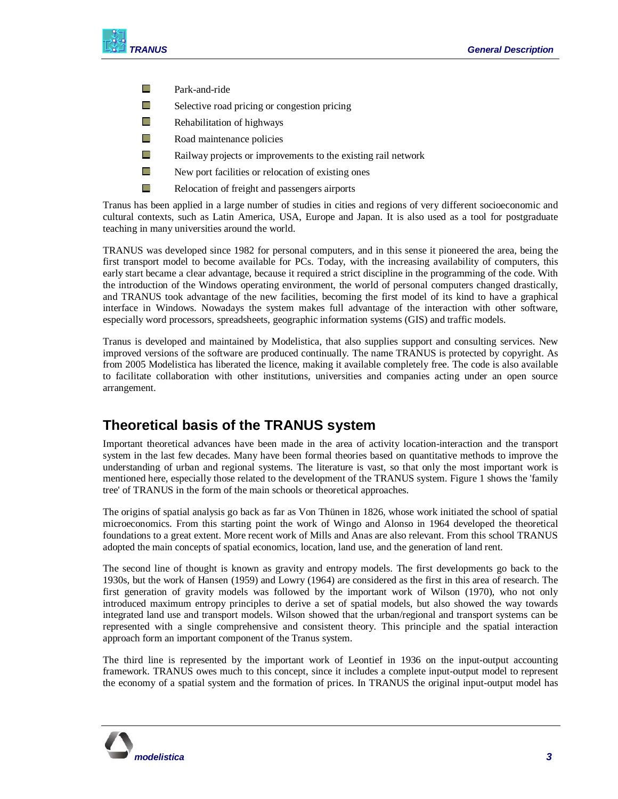- $\Box$ Park-and-ride
- $\Box$ Selective road pricing or congestion pricing
- $\Box$ Rehabilitation of highways
- $\Box$ Road maintenance policies
- $\mathbb{R}^2$ Railway projects or improvements to the existing rail network
- $\Box$ New port facilities or relocation of existing ones
- $\Box$ Relocation of freight and passengers airports

Tranus has been applied in a large number of studies in cities and regions of very different socioeconomic and cultural contexts, such as Latin America, USA, Europe and Japan. It is also used as a tool for postgraduate teaching in many universities around the world.

TRANUS was developed since 1982 for personal computers, and in this sense it pioneered the area, being the first transport model to become available for PCs. Today, with the increasing availability of computers, this early start became a clear advantage, because it required a strict discipline in the programming of the code. With the introduction of the Windows operating environment, the world of personal computers changed drastically, and TRANUS took advantage of the new facilities, becoming the first model of its kind to have a graphical interface in Windows. Nowadays the system makes full advantage of the interaction with other software, especially word processors, spreadsheets, geographic information systems (GIS) and traffic models.

Tranus is developed and maintained by Modelistica, that also supplies support and consulting services. New improved versions of the software are produced continually. The name TRANUS is protected by copyright. As from 2005 Modelistica has liberated the licence, making it available completely free. The code is also available to facilitate collaboration with other institutions, universities and companies acting under an open source arrangement.

### **Theoretical basis of the TRANUS system**

Important theoretical advances have been made in the area of activity location-interaction and the transport system in the last few decades. Many have been formal theories based on quantitative methods to improve the understanding of urban and regional systems. The literature is vast, so that only the most important work is mentioned here, especially those related to the development of the TRANUS system. Figure 1 shows the 'family tree' of TRANUS in the form of the main schools or theoretical approaches.

The origins of spatial analysis go back as far as Von Thünen in 1826, whose work initiated the school of spatial microeconomics. From this starting point the work of Wingo and Alonso in 1964 developed the theoretical foundations to a great extent. More recent work of Mills and Anas are also relevant. From this school TRANUS adopted the main concepts of spatial economics, location, land use, and the generation of land rent.

The second line of thought is known as gravity and entropy models. The first developments go back to the 1930s, but the work of Hansen (1959) and Lowry (1964) are considered as the first in this area of research. The first generation of gravity models was followed by the important work of Wilson (1970), who not only introduced maximum entropy principles to derive a set of spatial models, but also showed the way towards integrated land use and transport models. Wilson showed that the urban/regional and transport systems can be represented with a single comprehensive and consistent theory. This principle and the spatial interaction approach form an important component of the Tranus system.

The third line is represented by the important work of Leontief in 1936 on the input-output accounting framework. TRANUS owes much to this concept, since it includes a complete input-output model to represent the economy of a spatial system and the formation of prices. In TRANUS the original input-output model has

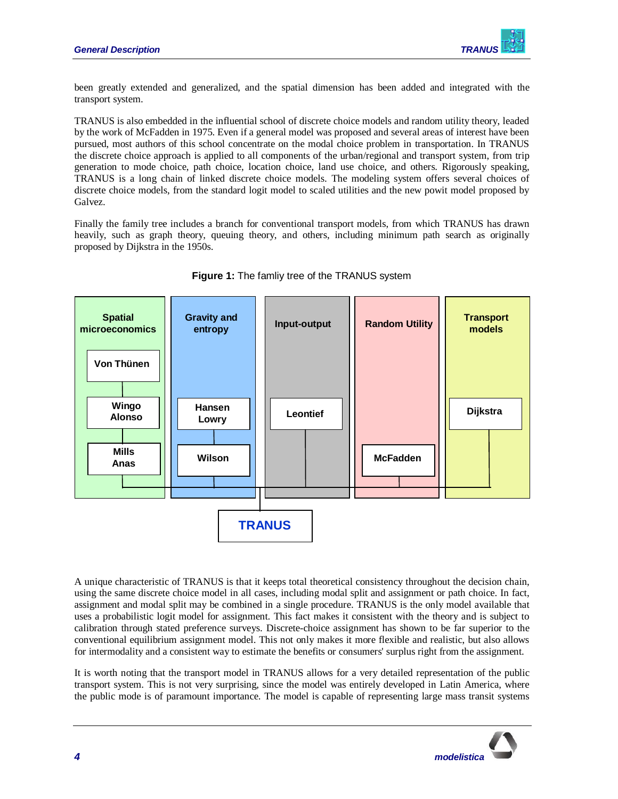

been greatly extended and generalized, and the spatial dimension has been added and integrated with the transport system.

TRANUS is also embedded in the influential school of discrete choice models and random utility theory, leaded by the work of McFadden in 1975. Even if a general model was proposed and several areas of interest have been pursued, most authors of this school concentrate on the modal choice problem in transportation. In TRANUS the discrete choice approach is applied to all components of the urban/regional and transport system, from trip generation to mode choice, path choice, location choice, land use choice, and others. Rigorously speaking, TRANUS is a long chain of linked discrete choice models. The modeling system offers several choices of discrete choice models, from the standard logit model to scaled utilities and the new powit model proposed by Galvez.

Finally the family tree includes a branch for conventional transport models, from which TRANUS has drawn heavily, such as graph theory, queuing theory, and others, including minimum path search as originally proposed by Dijkstra in the 1950s.



**Figure 1:** The famliy tree of the TRANUS system

A unique characteristic of TRANUS is that it keeps total theoretical consistency throughout the decision chain, using the same discrete choice model in all cases, including modal split and assignment or path choice. In fact, assignment and modal split may be combined in a single procedure. TRANUS is the only model available that uses a probabilistic logit model for assignment. This fact makes it consistent with the theory and is subject to calibration through stated preference surveys. Discrete-choice assignment has shown to be far superior to the conventional equilibrium assignment model. This not only makes it more flexible and realistic, but also allows for intermodality and a consistent way to estimate the benefits or consumers' surplus right from the assignment.

It is worth noting that the transport model in TRANUS allows for a very detailed representation of the public transport system. This is not very surprising, since the model was entirely developed in Latin America, where the public mode is of paramount importance. The model is capable of representing large mass transit systems

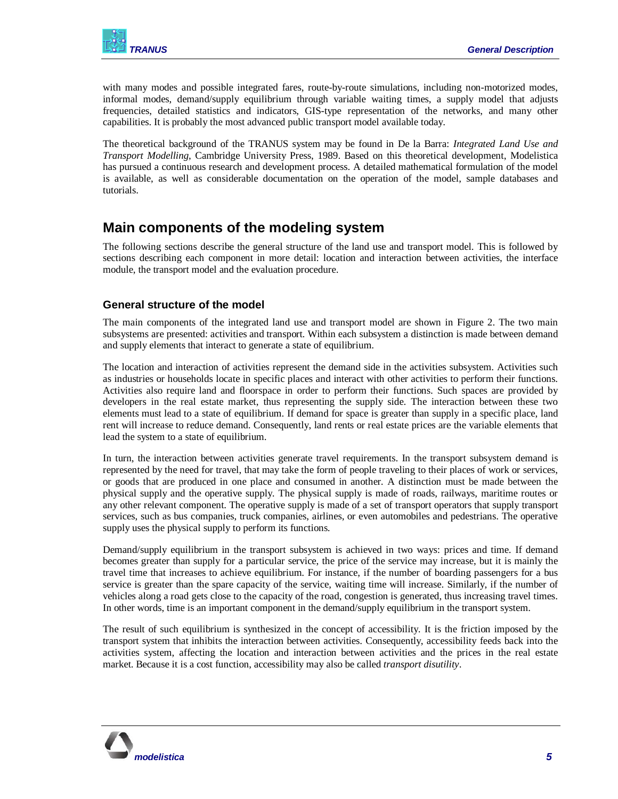with many modes and possible integrated fares, route-by-route simulations, including non-motorized modes, informal modes, demand/supply equilibrium through variable waiting times, a supply model that adjusts frequencies, detailed statistics and indicators, GIS-type representation of the networks, and many other capabilities. It is probably the most advanced public transport model available today.

The theoretical background of the TRANUS system may be found in De la Barra: *Integrated Land Use and Transport Modelling*, Cambridge University Press, 1989. Based on this theoretical development, Modelistica has pursued a continuous research and development process. A detailed mathematical formulation of the model is available, as well as considerable documentation on the operation of the model, sample databases and tutorials.

### **Main components of the modeling system**

The following sections describe the general structure of the land use and transport model. This is followed by sections describing each component in more detail: location and interaction between activities, the interface module, the transport model and the evaluation procedure.

#### **General structure of the model**

The main components of the integrated land use and transport model are shown in Figure 2. The two main subsystems are presented: activities and transport. Within each subsystem a distinction is made between demand and supply elements that interact to generate a state of equilibrium.

The location and interaction of activities represent the demand side in the activities subsystem. Activities such as industries or households locate in specific places and interact with other activities to perform their functions. Activities also require land and floorspace in order to perform their functions. Such spaces are provided by developers in the real estate market, thus representing the supply side. The interaction between these two elements must lead to a state of equilibrium. If demand for space is greater than supply in a specific place, land rent will increase to reduce demand. Consequently, land rents or real estate prices are the variable elements that lead the system to a state of equilibrium.

In turn, the interaction between activities generate travel requirements. In the transport subsystem demand is represented by the need for travel, that may take the form of people traveling to their places of work or services, or goods that are produced in one place and consumed in another. A distinction must be made between the physical supply and the operative supply. The physical supply is made of roads, railways, maritime routes or any other relevant component. The operative supply is made of a set of transport operators that supply transport services, such as bus companies, truck companies, airlines, or even automobiles and pedestrians. The operative supply uses the physical supply to perform its functions.

Demand/supply equilibrium in the transport subsystem is achieved in two ways: prices and time. If demand becomes greater than supply for a particular service, the price of the service may increase, but it is mainly the travel time that increases to achieve equilibrium. For instance, if the number of boarding passengers for a bus service is greater than the spare capacity of the service, waiting time will increase. Similarly, if the number of vehicles along a road gets close to the capacity of the road, congestion is generated, thus increasing travel times. In other words, time is an important component in the demand/supply equilibrium in the transport system.

The result of such equilibrium is synthesized in the concept of accessibility. It is the friction imposed by the transport system that inhibits the interaction between activities. Consequently, accessibility feeds back into the activities system, affecting the location and interaction between activities and the prices in the real estate market. Because it is a cost function, accessibility may also be called *transport disutility*.

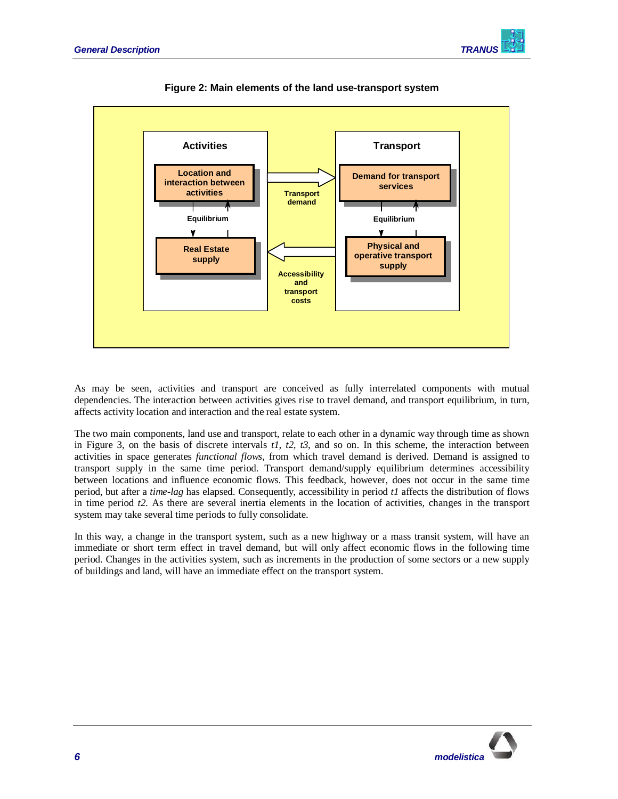



**Figure 2: Main elements of the land use-transport system** 

As may be seen, activities and transport are conceived as fully interrelated components with mutual dependencies. The interaction between activities gives rise to travel demand, and transport equilibrium, in turn, affects activity location and interaction and the real estate system.

The two main components, land use and transport, relate to each other in a dynamic way through time as shown in Figure 3, on the basis of discrete intervals *t1, t2, t3*, and so on. In this scheme, the interaction between activities in space generates *functional flows*, from which travel demand is derived. Demand is assigned to transport supply in the same time period. Transport demand/supply equilibrium determines accessibility between locations and influence economic flows. This feedback, however, does not occur in the same time period, but after a *time-lag* has elapsed. Consequently, accessibility in period *t1* affects the distribution of flows in time period *t2*. As there are several inertia elements in the location of activities, changes in the transport system may take several time periods to fully consolidate.

In this way, a change in the transport system, such as a new highway or a mass transit system, will have an immediate or short term effect in travel demand, but will only affect economic flows in the following time period. Changes in the activities system, such as increments in the production of some sectors or a new supply of buildings and land, will have an immediate effect on the transport system.

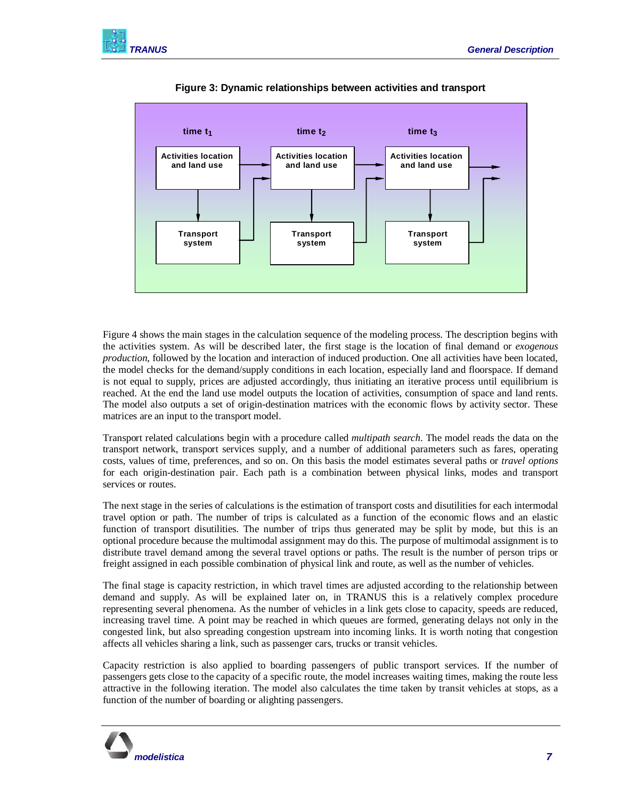

#### **Figure 3: Dynamic relationships between activities and transport**

Figure 4 shows the main stages in the calculation sequence of the modeling process. The description begins with the activities system. As will be described later, the first stage is the location of final demand or *exogenous production*, followed by the location and interaction of induced production. One all activities have been located, the model checks for the demand/supply conditions in each location, especially land and floorspace. If demand is not equal to supply, prices are adjusted accordingly, thus initiating an iterative process until equilibrium is reached. At the end the land use model outputs the location of activities, consumption of space and land rents. The model also outputs a set of origin-destination matrices with the economic flows by activity sector. These matrices are an input to the transport model.

Transport related calculations begin with a procedure called *multipath search*. The model reads the data on the transport network, transport services supply, and a number of additional parameters such as fares, operating costs, values of time, preferences, and so on. On this basis the model estimates several paths or *travel options* for each origin-destination pair. Each path is a combination between physical links, modes and transport services or routes.

The next stage in the series of calculations is the estimation of transport costs and disutilities for each intermodal travel option or path. The number of trips is calculated as a function of the economic flows and an elastic function of transport disutilities. The number of trips thus generated may be split by mode, but this is an optional procedure because the multimodal assignment may do this. The purpose of multimodal assignment is to distribute travel demand among the several travel options or paths. The result is the number of person trips or freight assigned in each possible combination of physical link and route, as well as the number of vehicles.

The final stage is capacity restriction, in which travel times are adjusted according to the relationship between demand and supply. As will be explained later on, in TRANUS this is a relatively complex procedure representing several phenomena. As the number of vehicles in a link gets close to capacity, speeds are reduced, increasing travel time. A point may be reached in which queues are formed, generating delays not only in the congested link, but also spreading congestion upstream into incoming links. It is worth noting that congestion affects all vehicles sharing a link, such as passenger cars, trucks or transit vehicles.

Capacity restriction is also applied to boarding passengers of public transport services. If the number of passengers gets close to the capacity of a specific route, the model increases waiting times, making the route less attractive in the following iteration. The model also calculates the time taken by transit vehicles at stops, as a function of the number of boarding or alighting passengers.

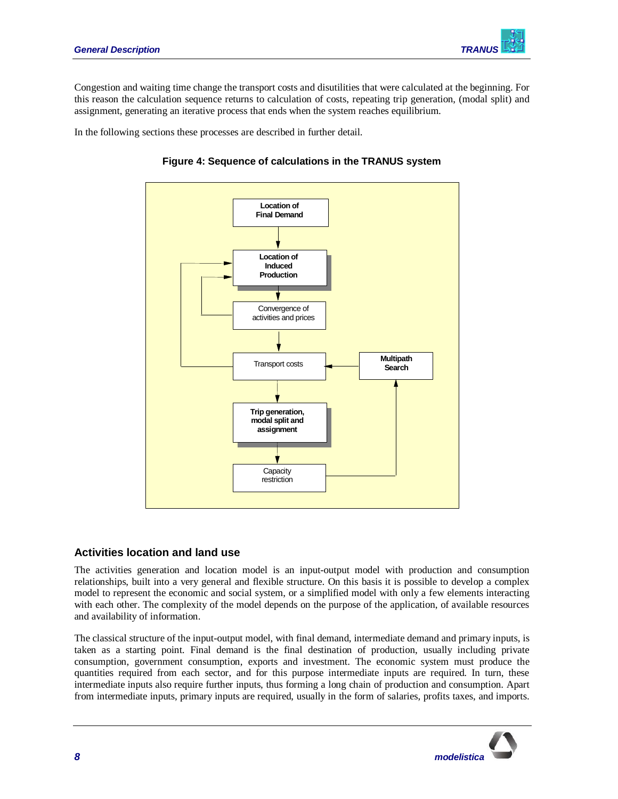

Congestion and waiting time change the transport costs and disutilities that were calculated at the beginning. For this reason the calculation sequence returns to calculation of costs, repeating trip generation, (modal split) and assignment, generating an iterative process that ends when the system reaches equilibrium.

In the following sections these processes are described in further detail.



#### **Figure 4: Sequence of calculations in the TRANUS system**

#### **Activities location and land use**

The activities generation and location model is an input-output model with production and consumption relationships, built into a very general and flexible structure. On this basis it is possible to develop a complex model to represent the economic and social system, or a simplified model with only a few elements interacting with each other. The complexity of the model depends on the purpose of the application, of available resources and availability of information.

The classical structure of the input-output model, with final demand, intermediate demand and primary inputs, is taken as a starting point. Final demand is the final destination of production, usually including private consumption, government consumption, exports and investment. The economic system must produce the quantities required from each sector, and for this purpose intermediate inputs are required. In turn, these intermediate inputs also require further inputs, thus forming a long chain of production and consumption. Apart from intermediate inputs, primary inputs are required, usually in the form of salaries, profits taxes, and imports.

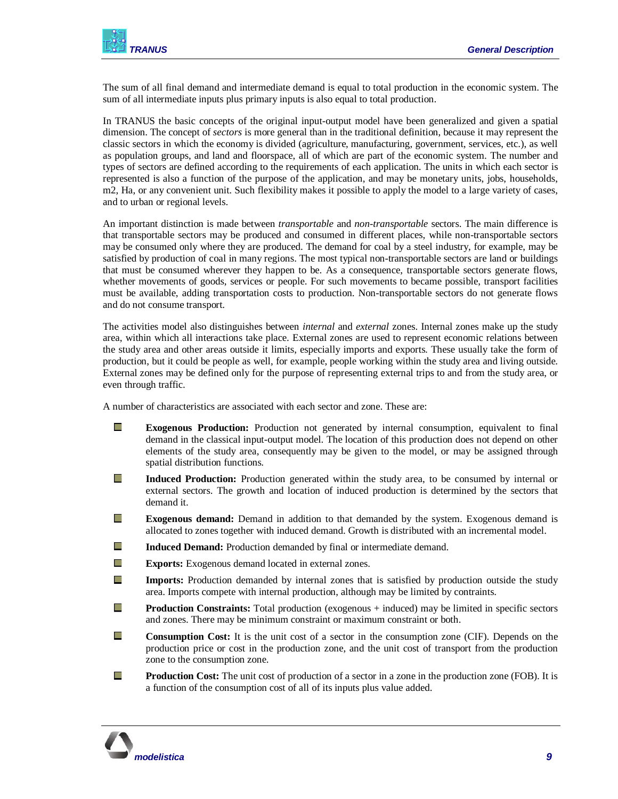

The sum of all final demand and intermediate demand is equal to total production in the economic system. The sum of all intermediate inputs plus primary inputs is also equal to total production.

In TRANUS the basic concepts of the original input-output model have been generalized and given a spatial dimension. The concept of *sectors* is more general than in the traditional definition, because it may represent the classic sectors in which the economy is divided (agriculture, manufacturing, government, services, etc.), as well as population groups, and land and floorspace, all of which are part of the economic system. The number and types of sectors are defined according to the requirements of each application. The units in which each sector is represented is also a function of the purpose of the application, and may be monetary units, jobs, households, m2, Ha, or any convenient unit. Such flexibility makes it possible to apply the model to a large variety of cases, and to urban or regional levels.

An important distinction is made between *transportable* and *non-transportable* sectors. The main difference is that transportable sectors may be produced and consumed in different places, while non-transportable sectors may be consumed only where they are produced. The demand for coal by a steel industry, for example, may be satisfied by production of coal in many regions. The most typical non-transportable sectors are land or buildings that must be consumed wherever they happen to be. As a consequence, transportable sectors generate flows, whether movements of goods, services or people. For such movements to became possible, transport facilities must be available, adding transportation costs to production. Non-transportable sectors do not generate flows and do not consume transport.

The activities model also distinguishes between *internal* and *external* zones. Internal zones make up the study area, within which all interactions take place. External zones are used to represent economic relations between the study area and other areas outside it limits, especially imports and exports. These usually take the form of production, but it could be people as well, for example, people working within the study area and living outside. External zones may be defined only for the purpose of representing external trips to and from the study area, or even through traffic.

A number of characteristics are associated with each sector and zone. These are:

- $\mathbb{R}^2$ **Exogenous Production:** Production not generated by internal consumption, equivalent to final demand in the classical input-output model. The location of this production does not depend on other elements of the study area, consequently may be given to the model, or may be assigned through spatial distribution functions.
- П **Induced Production:** Production generated within the study area, to be consumed by internal or external sectors. The growth and location of induced production is determined by the sectors that demand it.
- T. **Exogenous demand:** Demand in addition to that demanded by the system. Exogenous demand is allocated to zones together with induced demand. Growth is distributed with an incremental model.
- $\mathcal{L}^{\mathcal{A}}$ **Induced Demand:** Production demanded by final or intermediate demand.
- $\mathcal{L}^{\mathcal{A}}$ **Exports:** Exogenous demand located in external zones.
- m. **Imports:** Production demanded by internal zones that is satisfied by production outside the study area. Imports compete with internal production, although may be limited by contraints.
- **Ta Production Constraints:** Total production (exogenous + induced) may be limited in specific sectors and zones. There may be minimum constraint or maximum constraint or both.
- $\Box$ **Consumption Cost:** It is the unit cost of a sector in the consumption zone (CIF). Depends on the production price or cost in the production zone, and the unit cost of transport from the production zone to the consumption zone.
- $\mathbb{R}^n$ **Production Cost:** The unit cost of production of a sector in a zone in the production zone (FOB). It is a function of the consumption cost of all of its inputs plus value added.

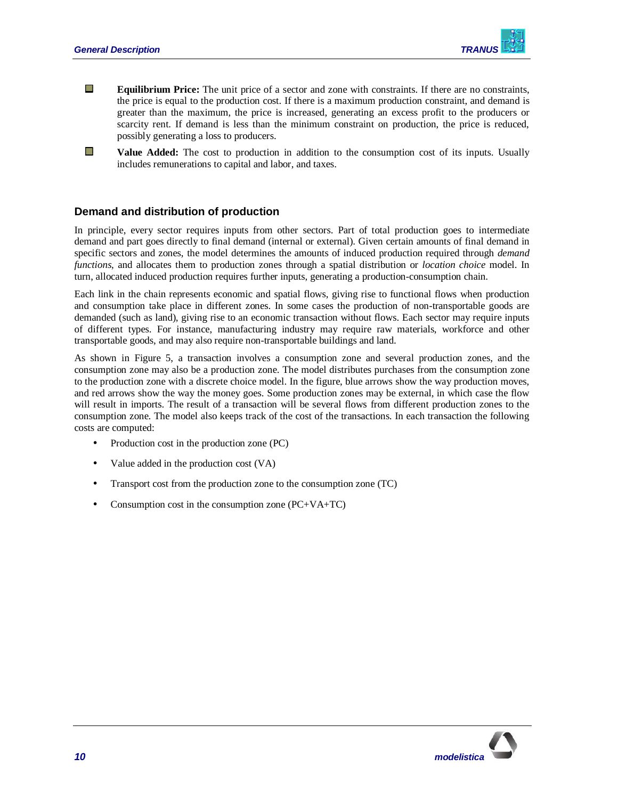

- $\overline{\phantom{a}}$ **Equilibrium Price:** The unit price of a sector and zone with constraints. If there are no constraints, the price is equal to the production cost. If there is a maximum production constraint, and demand is greater than the maximum, the price is increased, generating an excess profit to the producers or scarcity rent. If demand is less than the minimum constraint on production, the price is reduced, possibly generating a loss to producers.
- $\mathcal{L}_{\mathcal{A}}$ **Value Added:** The cost to production in addition to the consumption cost of its inputs. Usually includes remunerations to capital and labor, and taxes.

#### **Demand and distribution of production**

In principle, every sector requires inputs from other sectors. Part of total production goes to intermediate demand and part goes directly to final demand (internal or external). Given certain amounts of final demand in specific sectors and zones, the model determines the amounts of induced production required through *demand functions*, and allocates them to production zones through a spatial distribution or *location choice* model. In turn, allocated induced production requires further inputs, generating a production-consumption chain.

Each link in the chain represents economic and spatial flows, giving rise to functional flows when production and consumption take place in different zones. In some cases the production of non-transportable goods are demanded (such as land), giving rise to an economic transaction without flows. Each sector may require inputs of different types. For instance, manufacturing industry may require raw materials, workforce and other transportable goods, and may also require non-transportable buildings and land.

As shown in Figure 5, a transaction involves a consumption zone and several production zones, and the consumption zone may also be a production zone. The model distributes purchases from the consumption zone to the production zone with a discrete choice model. In the figure, blue arrows show the way production moves, and red arrows show the way the money goes. Some production zones may be external, in which case the flow will result in imports. The result of a transaction will be several flows from different production zones to the consumption zone. The model also keeps track of the cost of the transactions. In each transaction the following costs are computed:

- Production cost in the production zone (PC)
- Value added in the production cost (VA)
- Transport cost from the production zone to the consumption zone (TC)
- Consumption cost in the consumption zone  $(PC+VA+TC)$

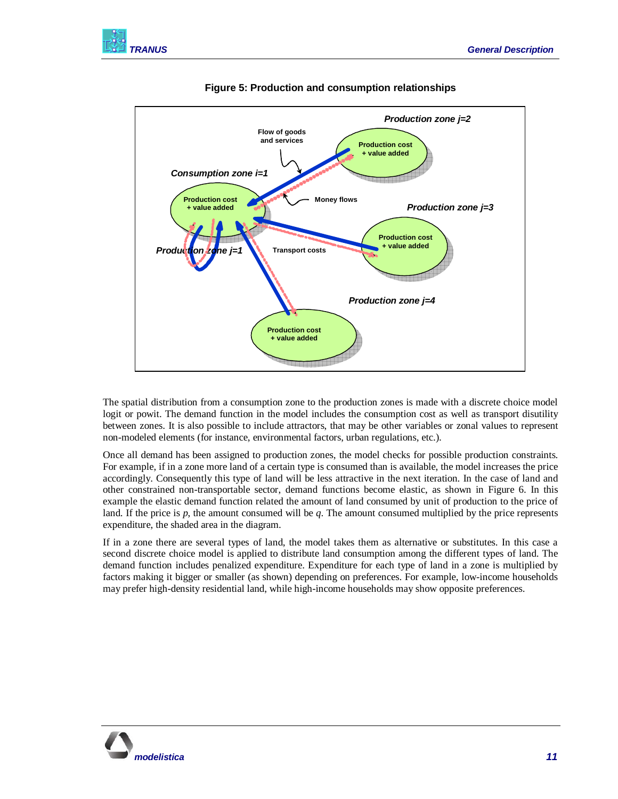



#### **Figure 5: Production and consumption relationships**

The spatial distribution from a consumption zone to the production zones is made with a discrete choice model logit or powit. The demand function in the model includes the consumption cost as well as transport disutility between zones. It is also possible to include attractors, that may be other variables or zonal values to represent non-modeled elements (for instance, environmental factors, urban regulations, etc.).

Once all demand has been assigned to production zones, the model checks for possible production constraints. For example, if in a zone more land of a certain type is consumed than is available, the model increases the price accordingly. Consequently this type of land will be less attractive in the next iteration. In the case of land and other constrained non-transportable sector, demand functions become elastic, as shown in Figure 6. In this example the elastic demand function related the amount of land consumed by unit of production to the price of land. If the price is *p*, the amount consumed will be *q*. The amount consumed multiplied by the price represents expenditure, the shaded area in the diagram.

If in a zone there are several types of land, the model takes them as alternative or substitutes. In this case a second discrete choice model is applied to distribute land consumption among the different types of land. The demand function includes penalized expenditure. Expenditure for each type of land in a zone is multiplied by factors making it bigger or smaller (as shown) depending on preferences. For example, low-income households may prefer high-density residential land, while high-income households may show opposite preferences.

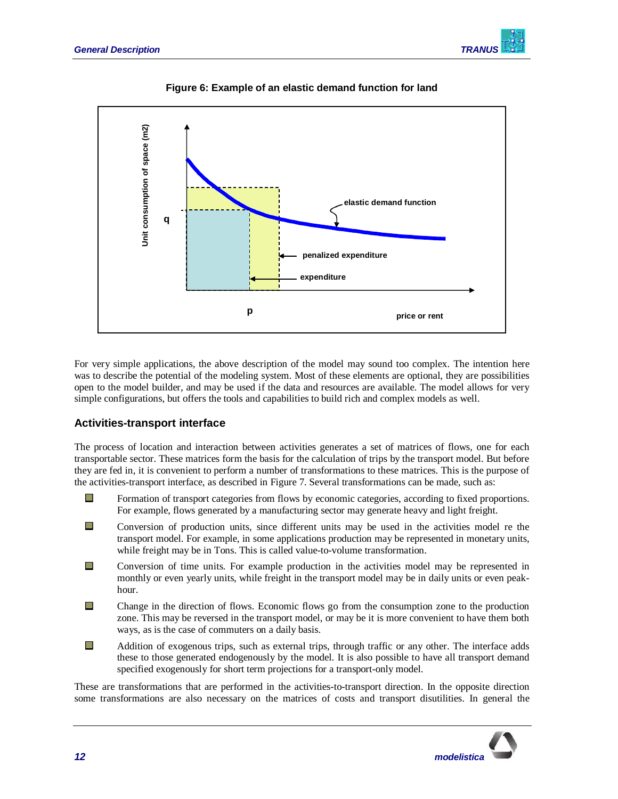



**Figure 6: Example of an elastic demand function for land** 

For very simple applications, the above description of the model may sound too complex. The intention here was to describe the potential of the modeling system. Most of these elements are optional, they are possibilities open to the model builder, and may be used if the data and resources are available. The model allows for very simple configurations, but offers the tools and capabilities to build rich and complex models as well.

#### **Activities-transport interface**

The process of location and interaction between activities generates a set of matrices of flows, one for each transportable sector. These matrices form the basis for the calculation of trips by the transport model. But before they are fed in, it is convenient to perform a number of transformations to these matrices. This is the purpose of the activities-transport interface, as described in Figure 7. Several transformations can be made, such as:

- **EXECUTE:** Formation of transport categories from flows by economic categories, according to fixed proportions. For example, flows generated by a manufacturing sector may generate heavy and light freight.
- **D** Conversion of production units, since different units may be used in the activities model re the transport model. For example, in some applications production may be represented in monetary units, while freight may be in Tons. This is called value-to-volume transformation.
- $\Box$  Conversion of time units. For example production in the activities model may be represented in monthly or even yearly units, while freight in the transport model may be in daily units or even peakhour.
- $\Box$  Change in the direction of flows. Economic flows go from the consumption zone to the production zone. This may be reversed in the transport model, or may be it is more convenient to have them both ways, as is the case of commuters on a daily basis.
- **Addition of exogenous trips, such as external trips, through traffic or any other. The interface adds** these to those generated endogenously by the model. It is also possible to have all transport demand specified exogenously for short term projections for a transport-only model.

These are transformations that are performed in the activities-to-transport direction. In the opposite direction some transformations are also necessary on the matrices of costs and transport disutilities. In general the

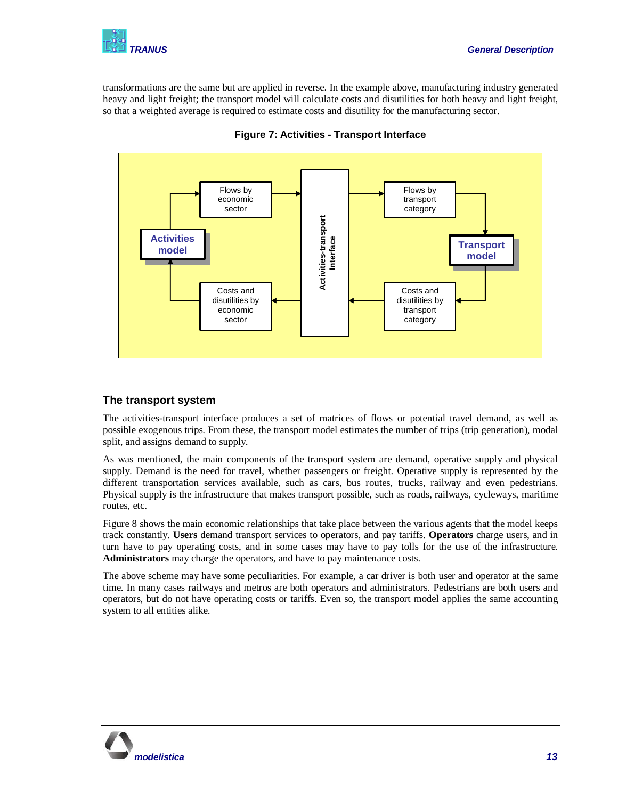

transformations are the same but are applied in reverse. In the example above, manufacturing industry generated heavy and light freight; the transport model will calculate costs and disutilities for both heavy and light freight, so that a weighted average is required to estimate costs and disutility for the manufacturing sector.



**Figure 7: Activities - Transport Interface** 

#### **The transport system**

The activities-transport interface produces a set of matrices of flows or potential travel demand, as well as possible exogenous trips. From these, the transport model estimates the number of trips (trip generation), modal split, and assigns demand to supply.

As was mentioned, the main components of the transport system are demand, operative supply and physical supply. Demand is the need for travel, whether passengers or freight. Operative supply is represented by the different transportation services available, such as cars, bus routes, trucks, railway and even pedestrians. Physical supply is the infrastructure that makes transport possible, such as roads, railways, cycleways, maritime routes, etc.

Figure 8 shows the main economic relationships that take place between the various agents that the model keeps track constantly. **Users** demand transport services to operators, and pay tariffs. **Operators** charge users, and in turn have to pay operating costs, and in some cases may have to pay tolls for the use of the infrastructure. **Administrators** may charge the operators, and have to pay maintenance costs.

The above scheme may have some peculiarities. For example, a car driver is both user and operator at the same time. In many cases railways and metros are both operators and administrators. Pedestrians are both users and operators, but do not have operating costs or tariffs. Even so, the transport model applies the same accounting system to all entities alike.

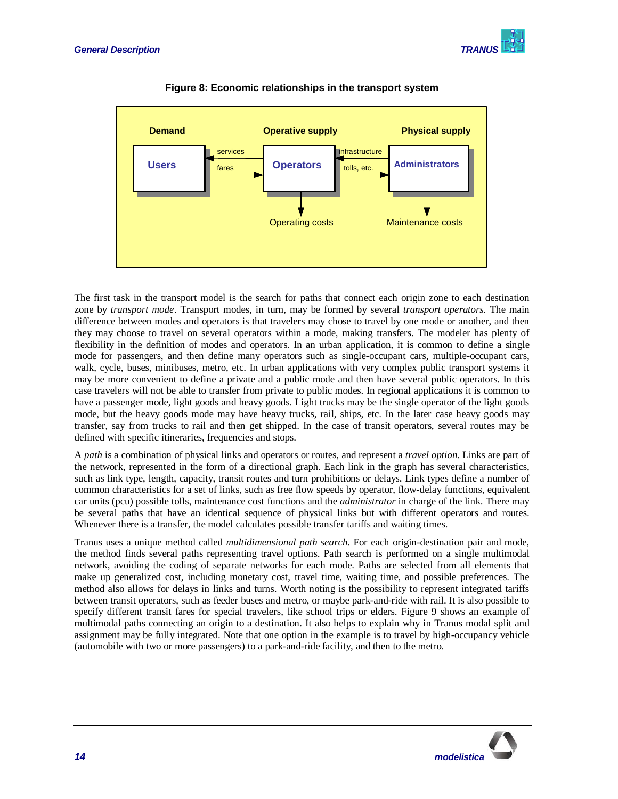



#### **Figure 8: Economic relationships in the transport system**

The first task in the transport model is the search for paths that connect each origin zone to each destination zone by *transport mode*. Transport modes, in turn, may be formed by several *transport operators*. The main difference between modes and operators is that travelers may chose to travel by one mode or another, and then they may choose to travel on several operators within a mode, making transfers. The modeler has plenty of flexibility in the definition of modes and operators. In an urban application, it is common to define a single mode for passengers, and then define many operators such as single-occupant cars, multiple-occupant cars, walk, cycle, buses, minibuses, metro, etc. In urban applications with very complex public transport systems it may be more convenient to define a private and a public mode and then have several public operators. In this case travelers will not be able to transfer from private to public modes. In regional applications it is common to have a passenger mode, light goods and heavy goods. Light trucks may be the single operator of the light goods mode, but the heavy goods mode may have heavy trucks, rail, ships, etc. In the later case heavy goods may transfer, say from trucks to rail and then get shipped. In the case of transit operators, several routes may be defined with specific itineraries, frequencies and stops.

A *path* is a combination of physical links and operators or routes, and represent a *travel option*. Links are part of the network, represented in the form of a directional graph. Each link in the graph has several characteristics, such as link type, length, capacity, transit routes and turn prohibitions or delays. Link types define a number of common characteristics for a set of links, such as free flow speeds by operator, flow-delay functions, equivalent car units (pcu) possible tolls, maintenance cost functions and the *administrator* in charge of the link. There may be several paths that have an identical sequence of physical links but with different operators and routes. Whenever there is a transfer, the model calculates possible transfer tariffs and waiting times.

Tranus uses a unique method called *multidimensional path search*. For each origin-destination pair and mode, the method finds several paths representing travel options. Path search is performed on a single multimodal network, avoiding the coding of separate networks for each mode. Paths are selected from all elements that make up generalized cost, including monetary cost, travel time, waiting time, and possible preferences. The method also allows for delays in links and turns. Worth noting is the possibility to represent integrated tariffs between transit operators, such as feeder buses and metro, or maybe park-and-ride with rail. It is also possible to specify different transit fares for special travelers, like school trips or elders. Figure 9 shows an example of multimodal paths connecting an origin to a destination. It also helps to explain why in Tranus modal split and assignment may be fully integrated. Note that one option in the example is to travel by high-occupancy vehicle (automobile with two or more passengers) to a park-and-ride facility, and then to the metro.

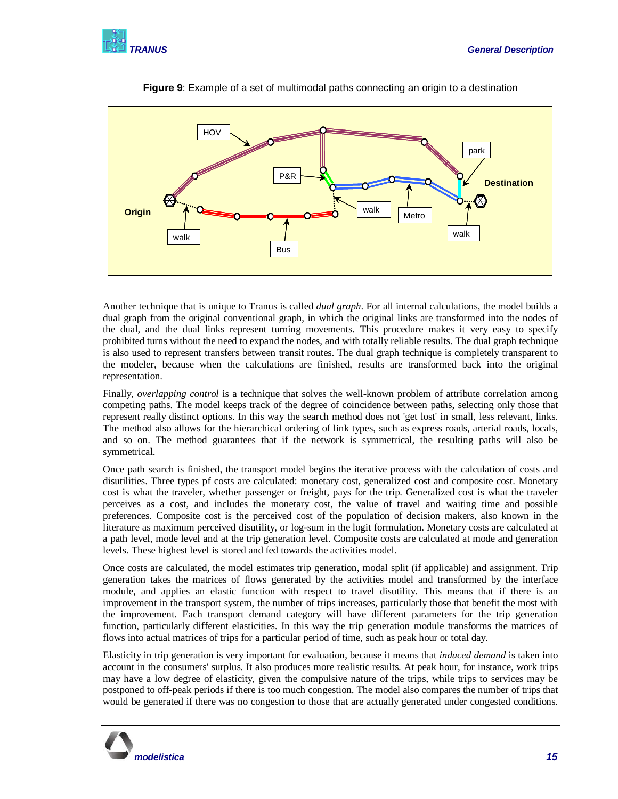



**Figure 9**: Example of a set of multimodal paths connecting an origin to a destination

Another technique that is unique to Tranus is called *dual graph*. For all internal calculations, the model builds a dual graph from the original conventional graph, in which the original links are transformed into the nodes of the dual, and the dual links represent turning movements. This procedure makes it very easy to specify prohibited turns without the need to expand the nodes, and with totally reliable results. The dual graph technique is also used to represent transfers between transit routes. The dual graph technique is completely transparent to the modeler, because when the calculations are finished, results are transformed back into the original representation.

Finally, *overlapping control* is a technique that solves the well-known problem of attribute correlation among competing paths. The model keeps track of the degree of coincidence between paths, selecting only those that represent really distinct options. In this way the search method does not 'get lost' in small, less relevant, links. The method also allows for the hierarchical ordering of link types, such as express roads, arterial roads, locals, and so on. The method guarantees that if the network is symmetrical, the resulting paths will also be symmetrical.

Once path search is finished, the transport model begins the iterative process with the calculation of costs and disutilities. Three types pf costs are calculated: monetary cost, generalized cost and composite cost. Monetary cost is what the traveler, whether passenger or freight, pays for the trip. Generalized cost is what the traveler perceives as a cost, and includes the monetary cost, the value of travel and waiting time and possible preferences. Composite cost is the perceived cost of the population of decision makers, also known in the literature as maximum perceived disutility, or log-sum in the logit formulation. Monetary costs are calculated at a path level, mode level and at the trip generation level. Composite costs are calculated at mode and generation levels. These highest level is stored and fed towards the activities model.

Once costs are calculated, the model estimates trip generation, modal split (if applicable) and assignment. Trip generation takes the matrices of flows generated by the activities model and transformed by the interface module, and applies an elastic function with respect to travel disutility. This means that if there is an improvement in the transport system, the number of trips increases, particularly those that benefit the most with the improvement. Each transport demand category will have different parameters for the trip generation function, particularly different elasticities. In this way the trip generation module transforms the matrices of flows into actual matrices of trips for a particular period of time, such as peak hour or total day.

Elasticity in trip generation is very important for evaluation, because it means that *induced demand* is taken into account in the consumers' surplus. It also produces more realistic results. At peak hour, for instance, work trips may have a low degree of elasticity, given the compulsive nature of the trips, while trips to services may be postponed to off-peak periods if there is too much congestion. The model also compares the number of trips that would be generated if there was no congestion to those that are actually generated under congested conditions.

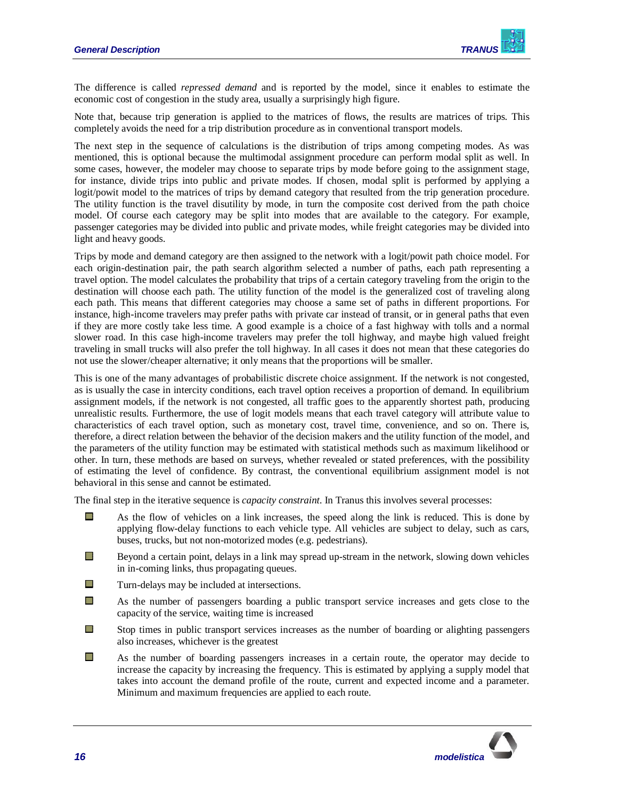

The difference is called *repressed demand* and is reported by the model, since it enables to estimate the economic cost of congestion in the study area, usually a surprisingly high figure.

Note that, because trip generation is applied to the matrices of flows, the results are matrices of trips. This completely avoids the need for a trip distribution procedure as in conventional transport models.

The next step in the sequence of calculations is the distribution of trips among competing modes. As was mentioned, this is optional because the multimodal assignment procedure can perform modal split as well. In some cases, however, the modeler may choose to separate trips by mode before going to the assignment stage, for instance, divide trips into public and private modes. If chosen, modal split is performed by applying a logit/powit model to the matrices of trips by demand category that resulted from the trip generation procedure. The utility function is the travel disutility by mode, in turn the composite cost derived from the path choice model. Of course each category may be split into modes that are available to the category. For example, passenger categories may be divided into public and private modes, while freight categories may be divided into light and heavy goods.

Trips by mode and demand category are then assigned to the network with a logit/powit path choice model. For each origin-destination pair, the path search algorithm selected a number of paths, each path representing a travel option. The model calculates the probability that trips of a certain category traveling from the origin to the destination will choose each path. The utility function of the model is the generalized cost of traveling along each path. This means that different categories may choose a same set of paths in different proportions. For instance, high-income travelers may prefer paths with private car instead of transit, or in general paths that even if they are more costly take less time. A good example is a choice of a fast highway with tolls and a normal slower road. In this case high-income travelers may prefer the toll highway, and maybe high valued freight traveling in small trucks will also prefer the toll highway. In all cases it does not mean that these categories do not use the slower/cheaper alternative; it only means that the proportions will be smaller.

This is one of the many advantages of probabilistic discrete choice assignment. If the network is not congested, as is usually the case in intercity conditions, each travel option receives a proportion of demand. In equilibrium assignment models, if the network is not congested, all traffic goes to the apparently shortest path, producing unrealistic results. Furthermore, the use of logit models means that each travel category will attribute value to characteristics of each travel option, such as monetary cost, travel time, convenience, and so on. There is, therefore, a direct relation between the behavior of the decision makers and the utility function of the model, and the parameters of the utility function may be estimated with statistical methods such as maximum likelihood or other. In turn, these methods are based on surveys, whether revealed or stated preferences, with the possibility of estimating the level of confidence. By contrast, the conventional equilibrium assignment model is not behavioral in this sense and cannot be estimated.

The final step in the iterative sequence is *capacity constraint*. In Tranus this involves several processes:

- $\Box$  As the flow of vehicles on a link increases, the speed along the link is reduced. This is done by applying flow-delay functions to each vehicle type. All vehicles are subject to delay, such as cars, buses, trucks, but not non-motorized modes (e.g. pedestrians).
- $\Box$  Beyond a certain point, delays in a link may spread up-stream in the network, slowing down vehicles in in-coming links, thus propagating queues.
- $\Box$  Turn-delays may be included at intersections.
- **As the number of passengers boarding a public transport service increases and gets close to the** capacity of the service, waiting time is increased
- $\Box$  Stop times in public transport services increases as the number of boarding or alighting passengers also increases, whichever is the greatest
- **As the number of boarding passengers increases in a certain route, the operator may decide to** increase the capacity by increasing the frequency. This is estimated by applying a supply model that takes into account the demand profile of the route, current and expected income and a parameter. Minimum and maximum frequencies are applied to each route.

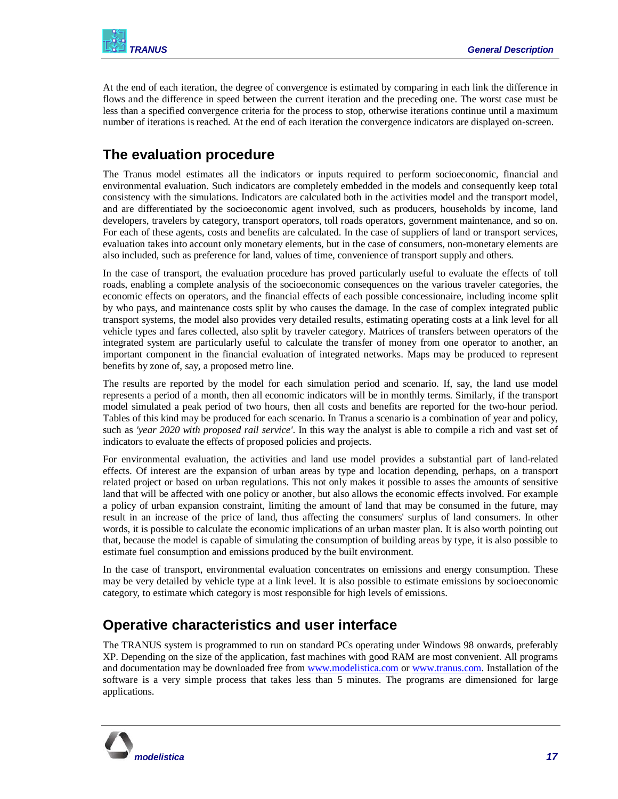

At the end of each iteration, the degree of convergence is estimated by comparing in each link the difference in flows and the difference in speed between the current iteration and the preceding one. The worst case must be less than a specified convergence criteria for the process to stop, otherwise iterations continue until a maximum number of iterations is reached. At the end of each iteration the convergence indicators are displayed on-screen.

# **The evaluation procedure**

The Tranus model estimates all the indicators or inputs required to perform socioeconomic, financial and environmental evaluation. Such indicators are completely embedded in the models and consequently keep total consistency with the simulations. Indicators are calculated both in the activities model and the transport model, and are differentiated by the socioeconomic agent involved, such as producers, households by income, land developers, travelers by category, transport operators, toll roads operators, government maintenance, and so on. For each of these agents, costs and benefits are calculated. In the case of suppliers of land or transport services, evaluation takes into account only monetary elements, but in the case of consumers, non-monetary elements are also included, such as preference for land, values of time, convenience of transport supply and others.

In the case of transport, the evaluation procedure has proved particularly useful to evaluate the effects of toll roads, enabling a complete analysis of the socioeconomic consequences on the various traveler categories, the economic effects on operators, and the financial effects of each possible concessionaire, including income split by who pays, and maintenance costs split by who causes the damage. In the case of complex integrated public transport systems, the model also provides very detailed results, estimating operating costs at a link level for all vehicle types and fares collected, also split by traveler category. Matrices of transfers between operators of the integrated system are particularly useful to calculate the transfer of money from one operator to another, an important component in the financial evaluation of integrated networks. Maps may be produced to represent benefits by zone of, say, a proposed metro line.

The results are reported by the model for each simulation period and scenario. If, say, the land use model represents a period of a month, then all economic indicators will be in monthly terms. Similarly, if the transport model simulated a peak period of two hours, then all costs and benefits are reported for the two-hour period. Tables of this kind may be produced for each scenario. In Tranus a scenario is a combination of year and policy, such as *'year 2020 with proposed rail service'*. In this way the analyst is able to compile a rich and vast set of indicators to evaluate the effects of proposed policies and projects.

For environmental evaluation, the activities and land use model provides a substantial part of land-related effects. Of interest are the expansion of urban areas by type and location depending, perhaps, on a transport related project or based on urban regulations. This not only makes it possible to asses the amounts of sensitive land that will be affected with one policy or another, but also allows the economic effects involved. For example a policy of urban expansion constraint, limiting the amount of land that may be consumed in the future, may result in an increase of the price of land, thus affecting the consumers' surplus of land consumers. In other words, it is possible to calculate the economic implications of an urban master plan. It is also worth pointing out that, because the model is capable of simulating the consumption of building areas by type, it is also possible to estimate fuel consumption and emissions produced by the built environment.

In the case of transport, environmental evaluation concentrates on emissions and energy consumption. These may be very detailed by vehicle type at a link level. It is also possible to estimate emissions by socioeconomic category, to estimate which category is most responsible for high levels of emissions.

## **Operative characteristics and user interface**

The TRANUS system is programmed to run on standard PCs operating under Windows 98 onwards, preferably XP. Depending on the size of the application, fast machines with good RAM are most convenient. All programs and documentation may be downloaded free from www.modelistica.com or www.tranus.com. Installation of the software is a very simple process that takes less than 5 minutes. The programs are dimensioned for large applications.

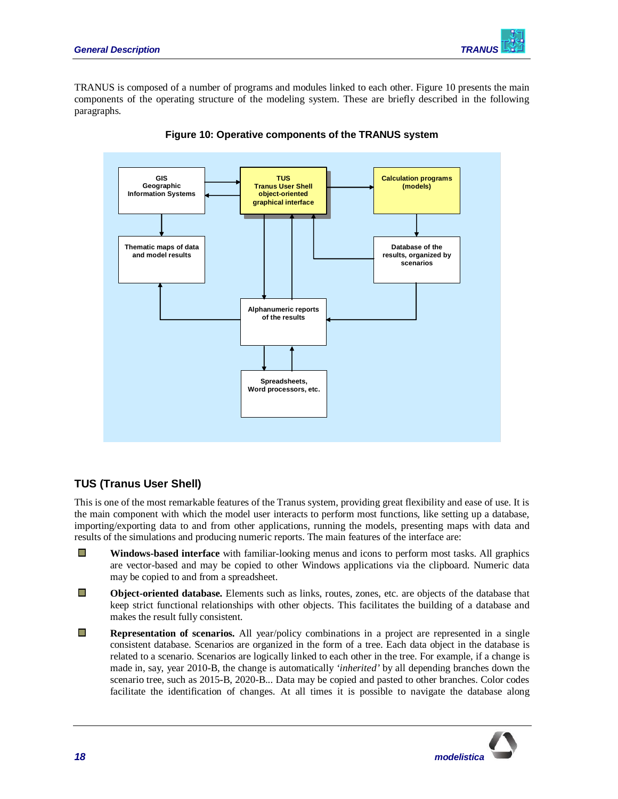

TRANUS is composed of a number of programs and modules linked to each other. Figure 10 presents the main components of the operating structure of the modeling system. These are briefly described in the following paragraphs.



**Figure 10: Operative components of the TRANUS system** 

#### **TUS (Tranus User Shell)**

This is one of the most remarkable features of the Tranus system, providing great flexibility and ease of use. It is the main component with which the model user interacts to perform most functions, like setting up a database, importing/exporting data to and from other applications, running the models, presenting maps with data and results of the simulations and producing numeric reports. The main features of the interface are:

- П **Windows-based interface** with familiar-looking menus and icons to perform most tasks. All graphics are vector-based and may be copied to other Windows applications via the clipboard. Numeric data may be copied to and from a spreadsheet.
- $\Box$ **Object-oriented database.** Elements such as links, routes, zones, etc. are objects of the database that keep strict functional relationships with other objects. This facilitates the building of a database and makes the result fully consistent.
- $\Box$ **Representation of scenarios.** All year/policy combinations in a project are represented in a single consistent database. Scenarios are organized in the form of a tree. Each data object in the database is related to a scenario. Scenarios are logically linked to each other in the tree. For example, if a change is made in, say, year 2010-B, the change is automatically *'inherited'* by all depending branches down the scenario tree, such as 2015-B, 2020-B... Data may be copied and pasted to other branches. Color codes facilitate the identification of changes. At all times it is possible to navigate the database along

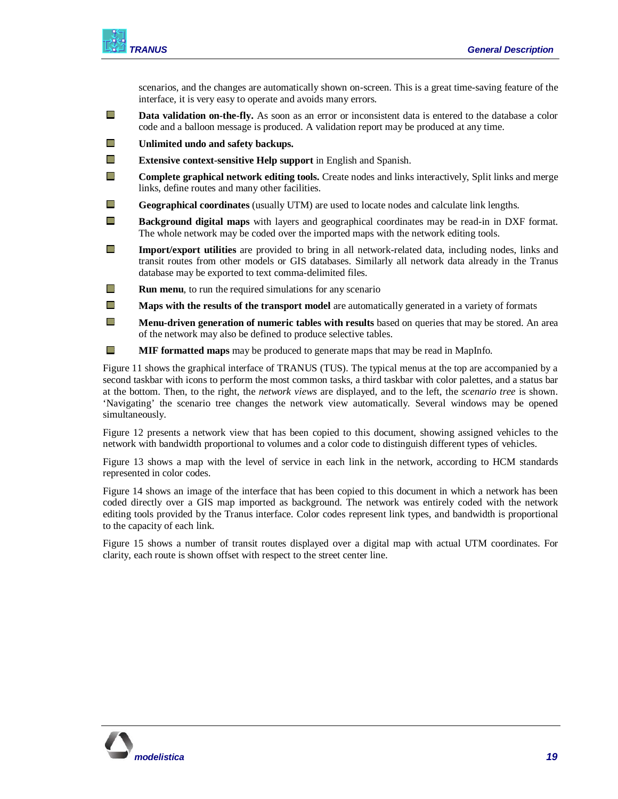

scenarios, and the changes are automatically shown on-screen. This is a great time-saving feature of the interface, it is very easy to operate and avoids many errors.

- $\Box$ **Data validation on-the-fly.** As soon as an error or inconsistent data is entered to the database a color code and a balloon message is produced. A validation report may be produced at any time.
- $\Box$ **Unlimited undo and safety backups.**
- П **Extensive context-sensitive Help support** in English and Spanish.
- П **Complete graphical network editing tools.** Create nodes and links interactively, Split links and merge links, define routes and many other facilities.
- $\Box$ **Geographical coordinates** (usually UTM) are used to locate nodes and calculate link lengths.
- $\Box$ **Background digital maps** with layers and geographical coordinates may be read-in in DXF format. The whole network may be coded over the imported maps with the network editing tools.
- $\Box$ **Import/export utilities** are provided to bring in all network-related data, including nodes, links and transit routes from other models or GIS databases. Similarly all network data already in the Tranus database may be exported to text comma-delimited files.
- $\Box$ **Run menu**, to run the required simulations for any scenario
- П **Maps with the results of the transport model** are automatically generated in a variety of formats
- П **Menu-driven generation of numeric tables with results** based on queries that may be stored. An area of the network may also be defined to produce selective tables.
- $\Box$ **MIF formatted maps** may be produced to generate maps that may be read in MapInfo.

Figure 11 shows the graphical interface of TRANUS (TUS). The typical menus at the top are accompanied by a second taskbar with icons to perform the most common tasks, a third taskbar with color palettes, and a status bar at the bottom. Then, to the right, the *network views* are displayed, and to the left, the *scenario tree* is shown. 'Navigating' the scenario tree changes the network view automatically. Several windows may be opened simultaneously.

Figure 12 presents a network view that has been copied to this document, showing assigned vehicles to the network with bandwidth proportional to volumes and a color code to distinguish different types of vehicles.

Figure 13 shows a map with the level of service in each link in the network, according to HCM standards represented in color codes.

Figure 14 shows an image of the interface that has been copied to this document in which a network has been coded directly over a GIS map imported as background. The network was entirely coded with the network editing tools provided by the Tranus interface. Color codes represent link types, and bandwidth is proportional to the capacity of each link.

Figure 15 shows a number of transit routes displayed over a digital map with actual UTM coordinates. For clarity, each route is shown offset with respect to the street center line.

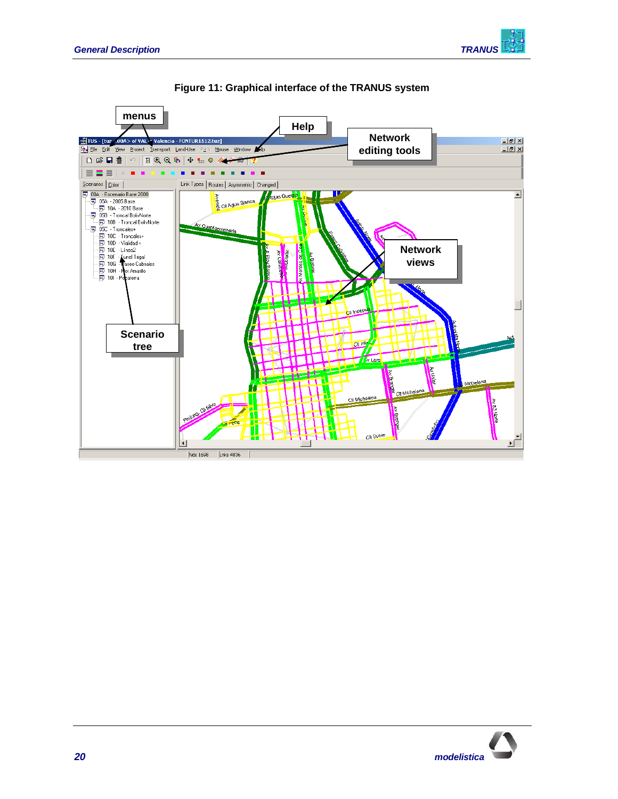



#### **Figure 11: Graphical interface of the TRANUS system**

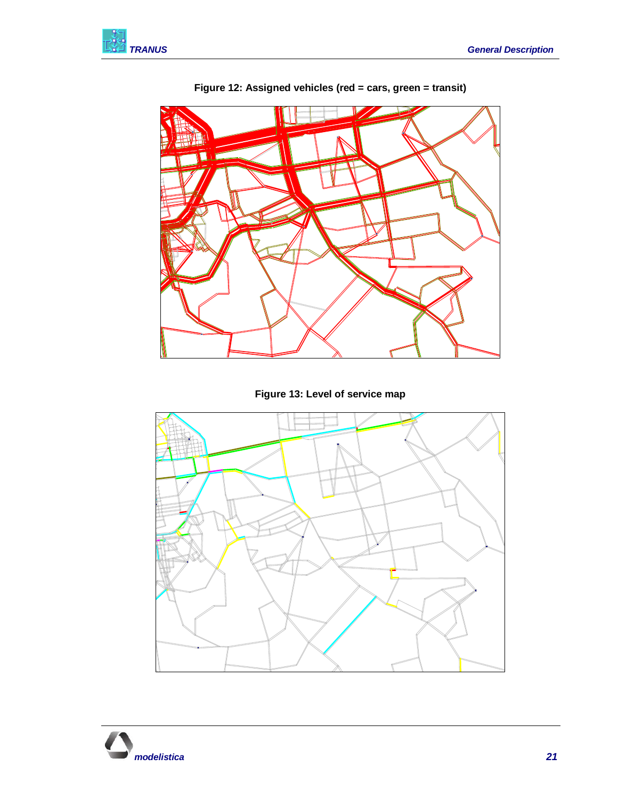



**Figure 12: Assigned vehicles (red = cars, green = transit)** 

**Figure 13: Level of service map** 



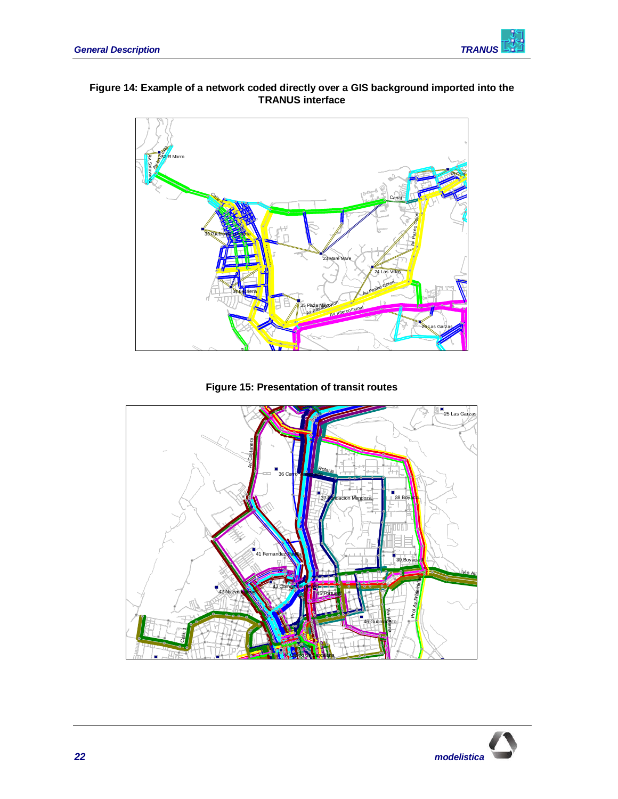

#### **Figure 14: Example of a network coded directly over a GIS background imported into the TRANUS interface**



**Figure 15: Presentation of transit routes**